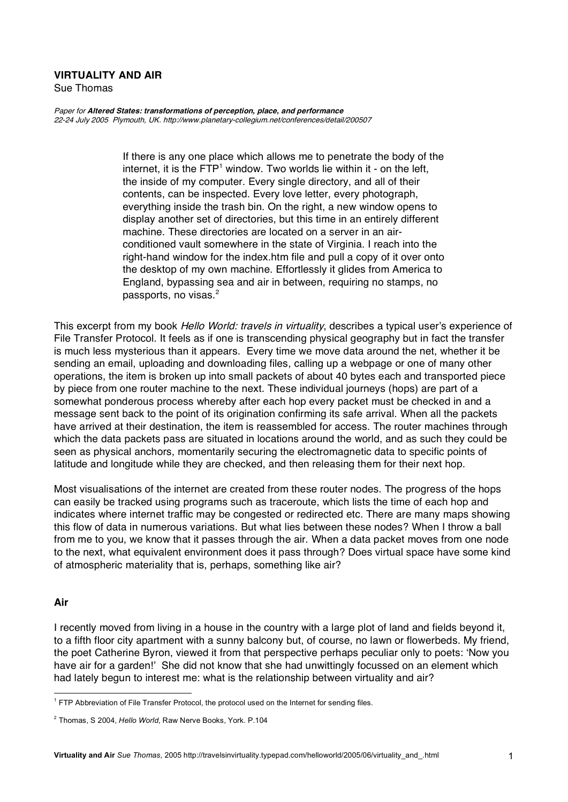# **VIRTUALITY AND AIR**

Sue Thomas

Paper for **Altered States: transformations of perception, place, and performance** 22-24 July 2005 Plymouth, UK. http://www.planetary-collegium.net/conferences/detail/200507

> If there is any one place which allows me to penetrate the body of the internet, it is the  $FTP<sup>1</sup>$  window. Two worlds lie within it - on the left, the inside of my computer. Every single directory, and all of their contents, can be inspected. Every love letter, every photograph, everything inside the trash bin. On the right, a new window opens to display another set of directories, but this time in an entirely different machine. These directories are located on a server in an airconditioned vault somewhere in the state of Virginia. I reach into the right-hand window for the index.htm file and pull a copy of it over onto the desktop of my own machine. Effortlessly it glides from America to England, bypassing sea and air in between, requiring no stamps, no passports, no visas. 2

This excerpt from my book *Hello World: travels in virtuality*, describes a typical user's experience of File Transfer Protocol. It feels as if one is transcending physical geography but in fact the transfer is much less mysterious than it appears. Every time we move data around the net, whether it be sending an email, uploading and downloading files, calling up a webpage or one of many other operations, the item is broken up into small packets of about 40 bytes each and transported piece by piece from one router machine to the next. These individual journeys (hops) are part of a somewhat ponderous process whereby after each hop every packet must be checked in and a message sent back to the point of its origination confirming its safe arrival. When all the packets have arrived at their destination, the item is reassembled for access. The router machines through which the data packets pass are situated in locations around the world, and as such they could be seen as physical anchors, momentarily securing the electromagnetic data to specific points of latitude and longitude while they are checked, and then releasing them for their next hop.

Most visualisations of the internet are created from these router nodes. The progress of the hops can easily be tracked using programs such as traceroute, which lists the time of each hop and indicates where internet traffic may be congested or redirected etc. There are many maps showing this flow of data in numerous variations. But what lies between these nodes? When I throw a ball from me to you, we know that it passes through the air. When a data packet moves from one node to the next, what equivalent environment does it pass through? Does virtual space have some kind of atmospheric materiality that is, perhaps, something like air?

### **Air**

I recently moved from living in a house in the country with a large plot of land and fields beyond it, to a fifth floor city apartment with a sunny balcony but, of course, no lawn or flowerbeds. My friend, the poet Catherine Byron, viewed it from that perspective perhaps peculiar only to poets: 'Now you have air for a garden!' She did not know that she had unwittingly focussed on an element which had lately begun to interest me: what is the relationship between virtuality and air?

 $1$  FTP Abbreviation of File Transfer Protocol, the protocol used on the Internet for sending files.

<sup>2</sup> Thomas, S 2004, *Hello World*, Raw Nerve Books, York. P.104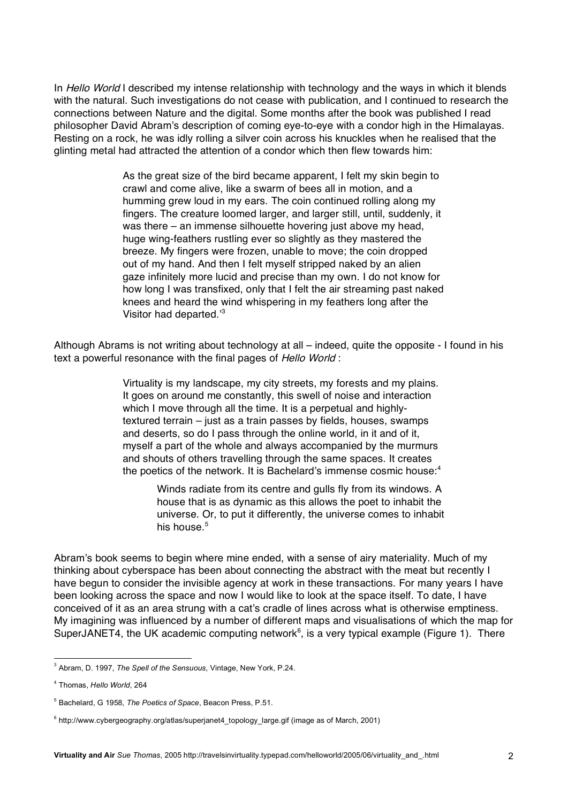In Hello World I described my intense relationship with technology and the ways in which it blends with the natural. Such investigations do not cease with publication, and I continued to research the connections between Nature and the digital. Some months after the book was published I read philosopher David Abram's description of coming eye-to-eye with a condor high in the Himalayas. Resting on a rock, he was idly rolling a silver coin across his knuckles when he realised that the glinting metal had attracted the attention of a condor which then flew towards him:

> As the great size of the bird became apparent, I felt my skin begin to crawl and come alive, like a swarm of bees all in motion, and a humming grew loud in my ears. The coin continued rolling along my fingers. The creature loomed larger, and larger still, until, suddenly, it was there – an immense silhouette hovering just above my head, huge wing-feathers rustling ever so slightly as they mastered the breeze. My fingers were frozen, unable to move; the coin dropped out of my hand. And then I felt myself stripped naked by an alien gaze infinitely more lucid and precise than my own. I do not know for how long I was transfixed, only that I felt the air streaming past naked knees and heard the wind whispering in my feathers long after the Visitor had departed.<sup>3</sup>

Although Abrams is not writing about technology at all – indeed, quite the opposite - I found in his text a powerful resonance with the final pages of Hello World:

> Virtuality is my landscape, my city streets, my forests and my plains. It goes on around me constantly, this swell of noise and interaction which I move through all the time. It is a perpetual and highlytextured terrain – just as a train passes by fields, houses, swamps and deserts, so do I pass through the online world, in it and of it. myself a part of the whole and always accompanied by the murmurs and shouts of others travelling through the same spaces. It creates the poetics of the network. It is Bachelard's immense cosmic house:<sup>4</sup>

> > Winds radiate from its centre and gulls fly from its windows. A house that is as dynamic as this allows the poet to inhabit the universe. Or, to put it differently, the universe comes to inhabit his house.<sup>5</sup>

Abram's book seems to begin where mine ended, with a sense of airy materiality. Much of my thinking about cyberspace has been about connecting the abstract with the meat but recently I have begun to consider the invisible agency at work in these transactions. For many years I have been looking across the space and now I would like to look at the space itself. To date, I have conceived of it as an area strung with a cat's cradle of lines across what is otherwise emptiness. My imagining was influenced by a number of different maps and visualisations of which the map for SuperJANET4, the UK academic computing network $6$ , is a very typical example (Figure 1). There

<sup>3</sup> Abram, D. 1997, *The Spell of the Sensuous*, Vintage, New York, P.24.

<sup>4</sup> Thomas, *Hello World*, 264

<sup>5</sup> Bachelard, G 1958, *The Poetics of Space*, Beacon Press, P.51.

<sup>6</sup> http://www.cybergeography.org/atlas/superjanet4\_topology\_large.gif (image as of March, 2001)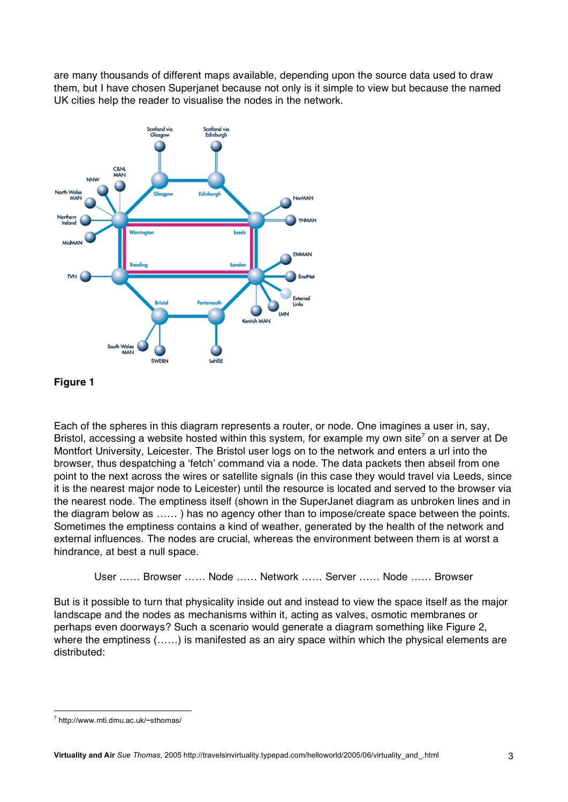are many thousands of different maps available, depending upon the source data used to draw them, but I have chosen Superjanet because not only is it simple to view but because the named UK cities help the reader to visualise the nodes in the network.



# **Figure 1**

Each of the spheres in this diagram represents a router, or node. One imagines a user in, say, Bristol, accessing a website hosted within this system, for example my own site<sup>7</sup> on a server at De Montfort University, Leicester. The Bristol user logs on to the network and enters a url into the browser, thus despatching a 'fetch' command via a node. The data packets then abseil from one point to the next across the wires or satellite signals (in this case they would travel via Leeds, since it is the nearest major node to Leicester) until the resource is located and served to the browser via the nearest node. The emptiness itself (shown in the SuperJanet diagram as unbroken lines and in the diagram below as …… ) has no agency other than to impose/create space between the points. Sometimes the emptiness contains a kind of weather, generated by the health of the network and external influences. The nodes are crucial, whereas the environment between them is at worst a hindrance, at best a null space.

User …… Browser …… Node …… Network …… Server …… Node …… Browser

But is it possible to turn that physicality inside out and instead to view the space itself as the major landscape and the nodes as mechanisms within it, acting as valves, osmotic membranes or perhaps even doorways? Such a scenario would generate a diagram something like Figure 2, where the emptiness (......) is manifested as an airy space within which the physical elements are distributed:

<sup>7</sup> http://www.mti.dmu.ac.uk/~sthomas/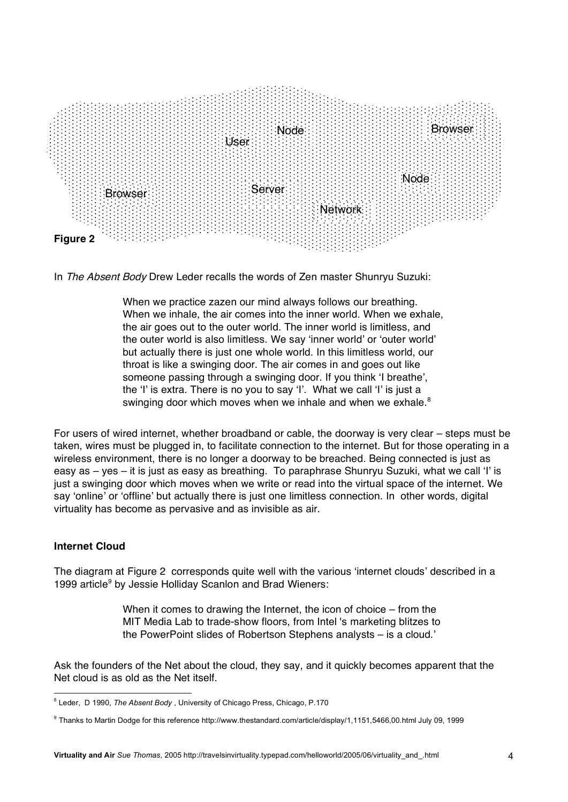

In The Absent Body Drew Leder recalls the words of Zen master Shunryu Suzuki:

When we practice zazen our mind always follows our breathing. When we inhale, the air comes into the inner world. When we exhale, the air goes out to the outer world. The inner world is limitless, and the outer world is also limitless. We say 'inner world' or 'outer world' but actually there is just one whole world. In this limitless world, our throat is like a swinging door. The air comes in and goes out like someone passing through a swinging door. If you think 'I breathe', the 'I' is extra. There is no you to say 'I'. What we call 'I' is just a swinging door which moves when we inhale and when we exhale.<sup>8</sup>

For users of wired internet, whether broadband or cable, the doorway is very clear – steps must be taken, wires must be plugged in, to facilitate connection to the internet. But for those operating in a wireless environment, there is no longer a doorway to be breached. Being connected is just as easy as – yes – it is just as easy as breathing. To paraphrase Shunryu Suzuki, what we call 'I' is just a swinging door which moves when we write or read into the virtual space of the internet. We say 'online' or 'offline' but actually there is just one limitless connection. In other words, digital virtuality has become as pervasive and as invisible as air.

# **Internet Cloud**

The diagram at Figure 2 corresponds quite well with the various 'internet clouds' described in a 1999 article<sup>9</sup> by Jessie Holliday Scanlon and Brad Wieners:

> When it comes to drawing the Internet, the icon of choice – from the MIT Media Lab to trade-show floors, from Intel 's marketing blitzes to the PowerPoint slides of Robertson Stephens analysts – is a cloud.'

Ask the founders of the Net about the cloud, they say, and it quickly becomes apparent that the Net cloud is as old as the Net itself.

<sup>8</sup> Leder, <sup>D</sup> 1990, *The Absent Body* , University of Chicago Press, Chicago, P.170

<sup>9</sup> Thanks to Martin Dodge for this reference http://www.thestandard.com/article/display/1,1151,5466,00.html July 09, 1999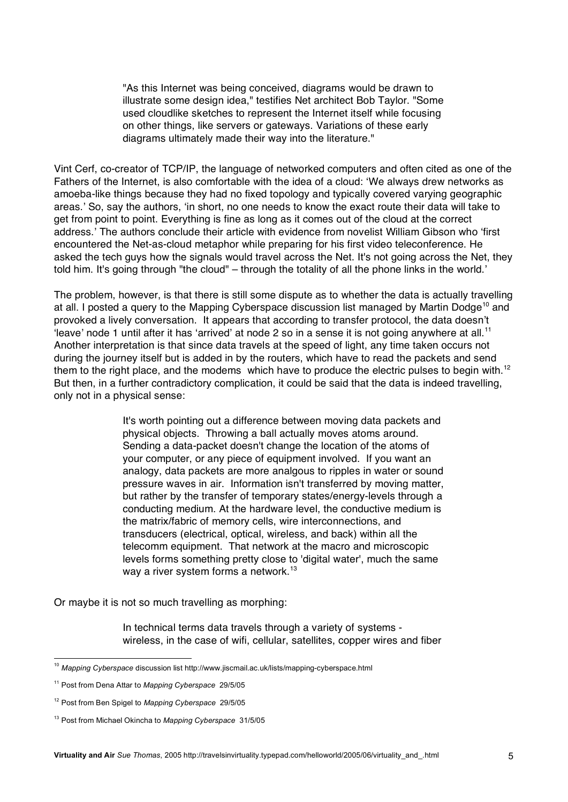"As this Internet was being conceived, diagrams would be drawn to illustrate some design idea," testifies Net architect Bob Taylor. "Some used cloudlike sketches to represent the Internet itself while focusing on other things, like servers or gateways. Variations of these early diagrams ultimately made their way into the literature."

Vint Cerf, co-creator of TCP/IP, the language of networked computers and often cited as one of the Fathers of the Internet, is also comfortable with the idea of a cloud: 'We always drew networks as amoeba-like things because they had no fixed topology and typically covered varying geographic areas.' So, say the authors, 'in short, no one needs to know the exact route their data will take to get from point to point. Everything is fine as long as it comes out of the cloud at the correct address.' The authors conclude their article with evidence from novelist William Gibson who 'first encountered the Net-as-cloud metaphor while preparing for his first video teleconference. He asked the tech guys how the signals would travel across the Net. It's not going across the Net, they told him. It's going through "the cloud" – through the totality of all the phone links in the world.'

The problem, however, is that there is still some dispute as to whether the data is actually travelling at all. I posted a query to the Mapping Cyberspace discussion list managed by Martin Dodge<sup>10</sup> and provoked a lively conversation. It appears that according to transfer protocol, the data doesn't 'leave' node 1 until after it has 'arrived' at node 2 so in a sense it is not going anywhere at all.<sup>11</sup> Another interpretation is that since data travels at the speed of light, any time taken occurs not during the journey itself but is added in by the routers, which have to read the packets and send them to the right place, and the modems which have to produce the electric pulses to begin with.<sup>12</sup> But then, in a further contradictory complication, it could be said that the data is indeed travelling, only not in a physical sense:

> It's worth pointing out a difference between moving data packets and physical objects. Throwing a ball actually moves atoms around. Sending a data-packet doesn't change the location of the atoms of your computer, or any piece of equipment involved. If you want an analogy, data packets are more analgous to ripples in water or sound pressure waves in air. Information isn't transferred by moving matter, but rather by the transfer of temporary states/energy-levels through a conducting medium. At the hardware level, the conductive medium is the matrix/fabric of memory cells, wire interconnections, and transducers (electrical, optical, wireless, and back) within all the telecomm equipment. That network at the macro and microscopic levels forms something pretty close to 'digital water', much the same way a river system forms a network.<sup>13</sup>

Or maybe it is not so much travelling as morphing:

In technical terms data travels through a variety of systems wireless, in the case of wifi, cellular, satellites, copper wires and fiber

<sup>10</sup> *Mapping Cyberspace* discussion list http://www.jiscmail.ac.uk/lists/mapping-cyberspace.html

<sup>11</sup> Post from Dena Attar to *Mapping Cyberspace* 29/5/05

<sup>12</sup> Post from Ben Spigel to *Mapping Cyberspace* 29/5/05

<sup>13</sup> Post from Michael Okincha to *Mapping Cyberspace* 31/5/05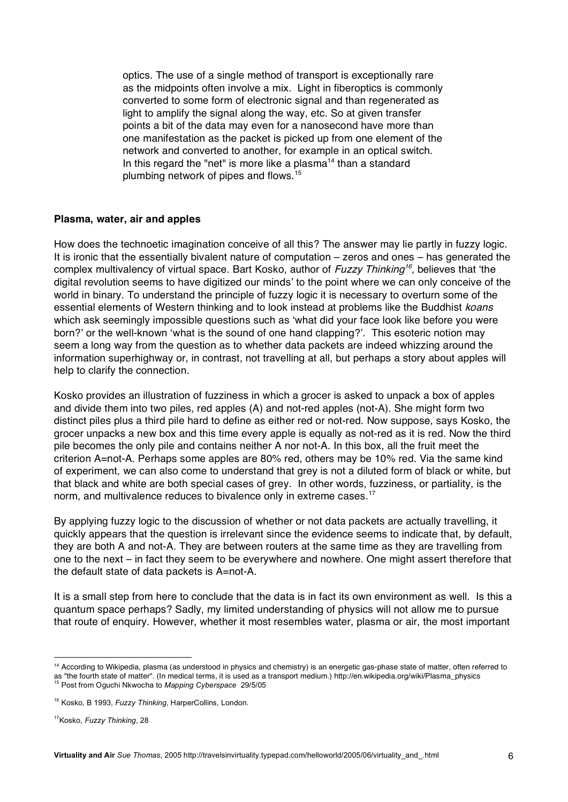optics. The use of a single method of transport is exceptionally rare as the midpoints often involve a mix. Light in fiberoptics is commonly converted to some form of electronic signal and than regenerated as light to amplify the signal along the way, etc. So at given transfer points a bit of the data may even for a nanosecond have more than one manifestation as the packet is picked up from one element of the network and converted to another, for example in an optical switch. In this regard the "net" is more like a plasma $14$  than a standard plumbing network of pipes and flows. 15

#### **Plasma, water, air and apples**

How does the technoetic imagination conceive of all this? The answer may lie partly in fuzzy logic. It is ironic that the essentially bivalent nature of computation – zeros and ones – has generated the complex multivalency of virtual space. Bart Kosko, author of  $Fuzzy Thinkina<sup>16</sup>$ , believes that 'the digital revolution seems to have digitized our minds' to the point where we can only conceive of the world in binary. To understand the principle of fuzzy logic it is necessary to overturn some of the essential elements of Western thinking and to look instead at problems like the Buddhist koans which ask seemingly impossible questions such as 'what did your face look like before you were born?' or the well-known 'what is the sound of one hand clapping?'. This esoteric notion may seem a long way from the question as to whether data packets are indeed whizzing around the information superhighway or, in contrast, not travelling at all, but perhaps a story about apples will help to clarify the connection.

Kosko provides an illustration of fuzziness in which a grocer is asked to unpack a box of apples and divide them into two piles, red apples (A) and not-red apples (not-A). She might form two distinct piles plus a third pile hard to define as either red or not-red. Now suppose, says Kosko, the grocer unpacks a new box and this time every apple is equally as not-red as it is red. Now the third pile becomes the only pile and contains neither A nor not-A. In this box, all the fruit meet the criterion A=not-A. Perhaps some apples are 80% red, others may be 10% red. Via the same kind of experiment, we can also come to understand that grey is not a diluted form of black or white, but that black and white are both special cases of grey. In other words, fuzziness, or partiality, is the norm, and multivalence reduces to bivalence only in extreme cases.<sup>17</sup>

By applying fuzzy logic to the discussion of whether or not data packets are actually travelling, it quickly appears that the question is irrelevant since the evidence seems to indicate that, by default, they are both A and not-A. They are between routers at the same time as they are travelling from one to the next – in fact they seem to be everywhere and nowhere. One might assert therefore that the default state of data packets is A=not-A.

It is a small step from here to conclude that the data is in fact its own environment as well. Is this a quantum space perhaps? Sadly, my limited understanding of physics will not allow me to pursue that route of enquiry. However, whether it most resembles water, plasma or air, the most important

<sup>&</sup>lt;sup>14</sup> According to Wikipedia, plasma (as understood in physics and chemistry) is an energetic gas-phase state of matter, often referred to as "the fourth state of matter". (In medical terms, it is used as <sup>a</sup> transport medium.) http://en.wikipedia.org/wiki/Plasma\_physics <sup>15</sup> Post from Oguchi Nkwocha to *Mapping Cyberspace* 29/5/05

<sup>16</sup> Kosko, B 1993, *Fuzzy Thinking*, HarperCollins, London.

<sup>17</sup> Kosko, *Fuzzy Thinking*, 28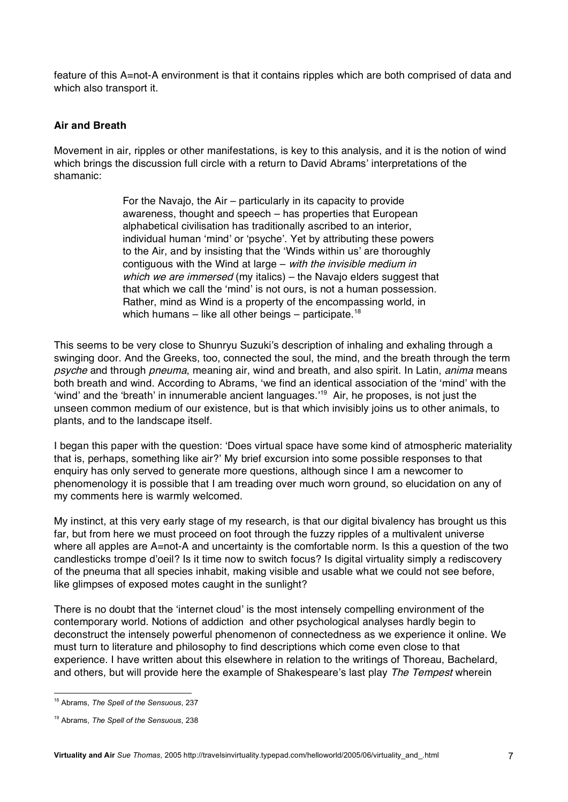feature of this A=not-A environment is that it contains ripples which are both comprised of data and which also transport it.

### **Air and Breath**

Movement in air, ripples or other manifestations, is key to this analysis, and it is the notion of wind which brings the discussion full circle with a return to David Abrams' interpretations of the shamanic:

> For the Navajo, the Air – particularly in its capacity to provide awareness, thought and speech – has properties that European alphabetical civilisation has traditionally ascribed to an interior, individual human 'mind' or 'psyche'. Yet by attributing these powers to the Air, and by insisting that the 'Winds within us' are thoroughly contiguous with the Wind at large – with the invisible medium in which we are immersed (my italics)  $-$  the Navaio elders suggest that that which we call the 'mind' is not ours, is not a human possession. Rather, mind as Wind is a property of the encompassing world, in which humans – like all other beings – participate.<sup>18</sup>

This seems to be very close to Shunryu Suzuki's description of inhaling and exhaling through a swinging door. And the Greeks, too, connected the soul, the mind, and the breath through the term psyche and through pneuma, meaning air, wind and breath, and also spirit. In Latin, anima means both breath and wind. According to Abrams, 'we find an identical association of the 'mind' with the 'wind' and the 'breath' in innumerable ancient languages.' <sup>19</sup> Air, he proposes, is not just the unseen common medium of our existence, but is that which invisibly joins us to other animals, to plants, and to the landscape itself.

I began this paper with the question: 'Does virtual space have some kind of atmospheric materiality that is, perhaps, something like air?' My brief excursion into some possible responses to that enquiry has only served to generate more questions, although since I am a newcomer to phenomenology it is possible that I am treading over much worn ground, so elucidation on any of my comments here is warmly welcomed.

My instinct, at this very early stage of my research, is that our digital bivalency has brought us this far, but from here we must proceed on foot through the fuzzy ripples of a multivalent universe where all apples are A=not-A and uncertainty is the comfortable norm. Is this a question of the two candlesticks trompe d'oeil? Is it time now to switch focus? Is digital virtuality simply a rediscovery of the pneuma that all species inhabit, making visible and usable what we could not see before, like glimpses of exposed motes caught in the sunlight?

There is no doubt that the 'internet cloud' is the most intensely compelling environment of the contemporary world. Notions of addiction and other psychological analyses hardly begin to deconstruct the intensely powerful phenomenon of connectedness as we experience it online. We must turn to literature and philosophy to find descriptions which come even close to that experience. I have written about this elsewhere in relation to the writings of Thoreau, Bachelard, and others, but will provide here the example of Shakespeare's last play The Tempest wherein

<sup>18</sup> Abrams, *The Spell of the Sensuous*, <sup>237</sup>

<sup>19</sup> Abrams, *The Spell of the Sensuous*, 238